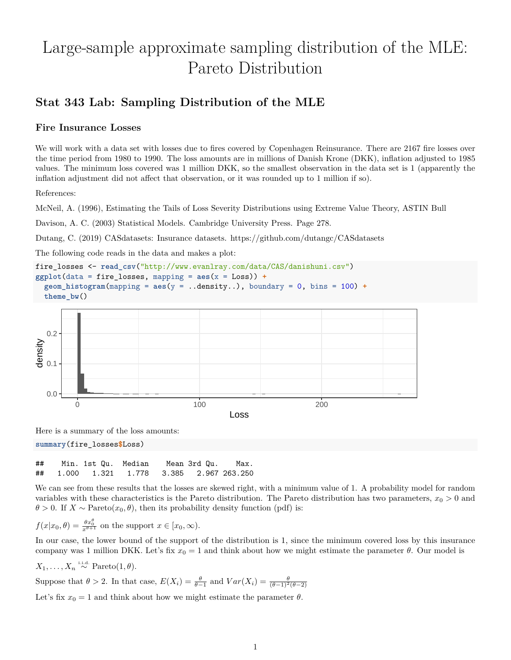# Large-sample approximate sampling distribution of the MLE: Pareto Distribution

## **Stat 343 Lab: Sampling Distribution of the MLE**

#### **Fire Insurance Losses**

We will work with a data set with losses due to fires covered by Copenhagen Reinsurance. There are 2167 fire losses over the time period from 1980 to 1990. The loss amounts are in millions of Danish Krone (DKK), inflation adjusted to 1985 values. The minimum loss covered was 1 million DKK, so the smallest observation in the data set is 1 (apparently the inflation adjustment did not affect that observation, or it was rounded up to 1 million if so).

References:

McNeil, A. (1996), Estimating the Tails of Loss Severity Distributions using Extreme Value Theory, ASTIN Bull

Davison, A. C. (2003) Statistical Models. Cambridge University Press. Page 278.

Dutang, C. (2019) CASdatasets: Insurance datasets.<https://github.com/dutangc/CASdatasets>

The following code reads in the data and makes a plot:

```
fire_losses <- read_csv("http://www.evanlray.com/data/CAS/danishuni.csv")
ggplot(data = fire_losses, mapping = aes(x = Loss)) +\phigeom_histogram(mapping = aes(y = \dotsdensity..), boundary = 0, bins = 100) +
  theme_bw()
```


Here is a summary of the loss amounts:

**summary**(fire\_losses**\$**Loss)

## Min. 1st Qu. Median Mean 3rd Qu. Max. ## 1.000 1.321 1.778 3.385 2.967 263.250

We can see from these results that the losses are skewed right, with a minimum value of 1. A probability model for random variables with these characteristics is the Pareto distribution. The Pareto distribution has two parameters,  $x_0 > 0$  and  $\theta > 0$ . If  $X \sim \text{Pareto}(x_0, \theta)$ , then its probability density function (pdf) is:

$$
f(x|x_0, \theta) = \frac{\theta x_0^{\theta}}{x^{\theta+1}}
$$
 on the support  $x \in [x_0, \infty)$ .

In our case, the lower bound of the support of the distribution is 1, since the minimum covered loss by this insurance company was 1 million DKK. Let's fix  $x_0 = 1$  and think about how we might estimate the parameter  $\theta$ . Our model is

 $X_1, \ldots, X_n \stackrel{\text{i.i.d.}}{\sim} \text{Pareto}(1, \theta).$ 

Suppose that  $\theta > 2$ . In that case,  $E(X_i) = \frac{\theta}{\theta - 1}$  and  $Var(X_i) = \frac{\theta}{(\theta - 1)^2(\theta - 2)}$ 

Let's fix  $x_0 = 1$  and think about how we might estimate the parameter  $\theta$ .